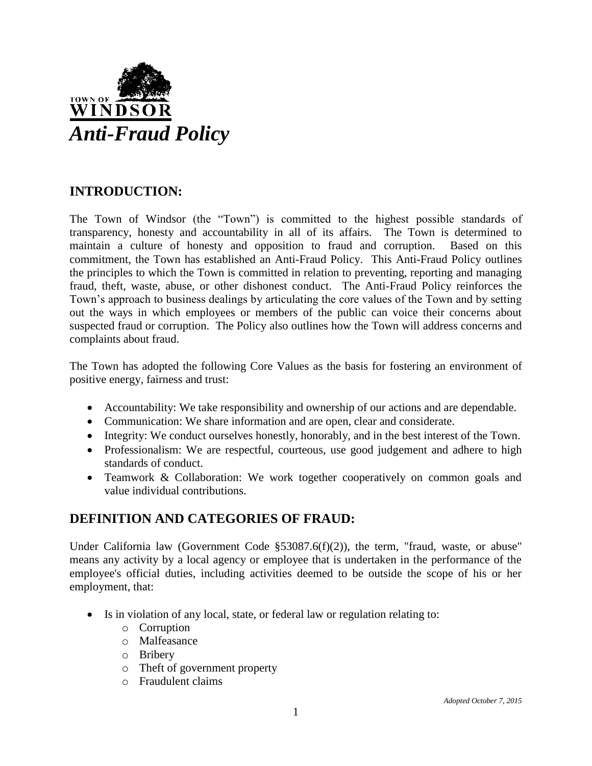

# **INTRODUCTION:**

The Town of Windsor (the "Town") is committed to the highest possible standards of transparency, honesty and accountability in all of its affairs. The Town is determined to maintain a culture of honesty and opposition to fraud and corruption. Based on this commitment, the Town has established an Anti-Fraud Policy. This Anti-Fraud Policy outlines the principles to which the Town is committed in relation to preventing, reporting and managing fraud, theft, waste, abuse, or other dishonest conduct. The Anti-Fraud Policy reinforces the Town's approach to business dealings by articulating the core values of the Town and by setting out the ways in which employees or members of the public can voice their concerns about suspected fraud or corruption. The Policy also outlines how the Town will address concerns and complaints about fraud.

The Town has adopted the following Core Values as the basis for fostering an environment of positive energy, fairness and trust:

- Accountability: We take responsibility and ownership of our actions and are dependable.
- Communication: We share information and are open, clear and considerate.
- Integrity: We conduct ourselves honestly, honorably, and in the best interest of the Town.
- Professionalism: We are respectful, courteous, use good judgement and adhere to high standards of conduct.
- Teamwork & Collaboration: We work together cooperatively on common goals and value individual contributions.

# **DEFINITION AND CATEGORIES OF FRAUD:**

Under California law (Government Code §53087.6(f)(2)), the term, "fraud, waste, or abuse" means any activity by a local agency or employee that is undertaken in the performance of the employee's official duties, including activities deemed to be outside the scope of his or her employment, that:

- Is in violation of any local, state, or federal law or regulation relating to:
	- o Corruption
	- o Malfeasance
	- o Bribery
	- o Theft of government property
	- o Fraudulent claims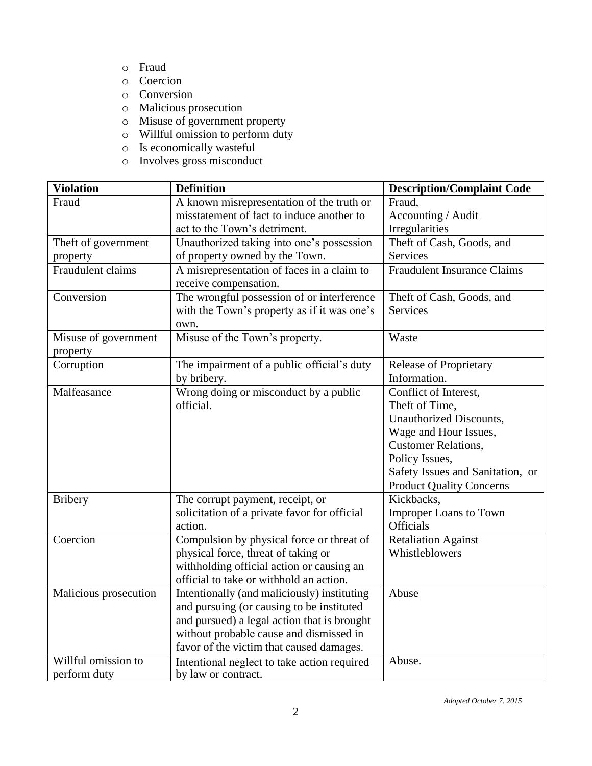- o Fraud
- o Coercion
- o Conversion
- o Malicious prosecution
- o Misuse of government property
- o Willful omission to perform duty
- o Is economically wasteful
- o Involves gross misconduct

| <b>Violation</b>                 | <b>Definition</b>                                                   | <b>Description/Complaint Code</b>  |
|----------------------------------|---------------------------------------------------------------------|------------------------------------|
| Fraud                            | A known misrepresentation of the truth or                           | Fraud,                             |
|                                  | misstatement of fact to induce another to                           | Accounting / Audit                 |
|                                  | act to the Town's detriment.                                        | Irregularities                     |
| Theft of government              | Unauthorized taking into one's possession                           | Theft of Cash, Goods, and          |
| property                         | of property owned by the Town.                                      | <b>Services</b>                    |
| Fraudulent claims                | A misrepresentation of faces in a claim to<br>receive compensation. | <b>Fraudulent Insurance Claims</b> |
| Conversion                       | The wrongful possession of or interference                          | Theft of Cash, Goods, and          |
|                                  | with the Town's property as if it was one's                         | <b>Services</b>                    |
|                                  | own.                                                                |                                    |
| Misuse of government<br>property | Misuse of the Town's property.                                      | Waste                              |
| Corruption                       | The impairment of a public official's duty                          | <b>Release of Proprietary</b>      |
|                                  | by bribery.                                                         | Information.                       |
| Malfeasance                      | Wrong doing or misconduct by a public                               | Conflict of Interest,              |
|                                  | official.                                                           | Theft of Time,                     |
|                                  |                                                                     | Unauthorized Discounts,            |
|                                  |                                                                     | Wage and Hour Issues,              |
|                                  |                                                                     | <b>Customer Relations,</b>         |
|                                  |                                                                     | Policy Issues,                     |
|                                  |                                                                     | Safety Issues and Sanitation, or   |
|                                  |                                                                     | <b>Product Quality Concerns</b>    |
| <b>Bribery</b>                   | The corrupt payment, receipt, or                                    | Kickbacks,                         |
|                                  | solicitation of a private favor for official                        | <b>Improper Loans to Town</b>      |
|                                  | action.                                                             | <b>Officials</b>                   |
| Coercion                         | Compulsion by physical force or threat of                           | <b>Retaliation Against</b>         |
|                                  | physical force, threat of taking or                                 | Whistleblowers                     |
|                                  | withholding official action or causing an                           |                                    |
|                                  | official to take or withhold an action.                             |                                    |
| Malicious prosecution            | Intentionally (and maliciously) instituting                         | Abuse                              |
|                                  | and pursuing (or causing to be instituted                           |                                    |
|                                  | and pursued) a legal action that is brought                         |                                    |
|                                  | without probable cause and dismissed in                             |                                    |
|                                  | favor of the victim that caused damages.                            |                                    |
| Willful omission to              | Intentional neglect to take action required                         | Abuse.                             |
| perform duty                     | by law or contract.                                                 |                                    |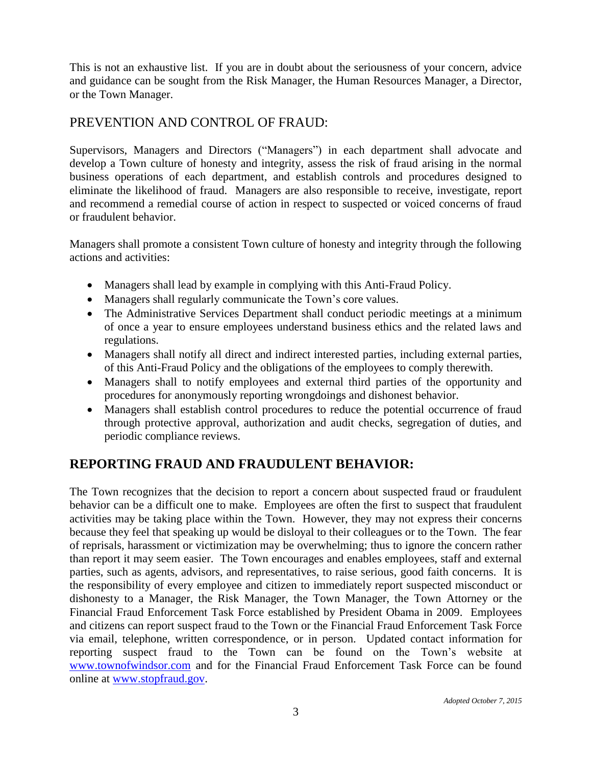This is not an exhaustive list. If you are in doubt about the seriousness of your concern, advice and guidance can be sought from the Risk Manager, the Human Resources Manager, a Director, or the Town Manager.

# PREVENTION AND CONTROL OF FRAUD:

Supervisors, Managers and Directors ("Managers") in each department shall advocate and develop a Town culture of honesty and integrity, assess the risk of fraud arising in the normal business operations of each department, and establish controls and procedures designed to eliminate the likelihood of fraud. Managers are also responsible to receive, investigate, report and recommend a remedial course of action in respect to suspected or voiced concerns of fraud or fraudulent behavior.

Managers shall promote a consistent Town culture of honesty and integrity through the following actions and activities:

- Managers shall lead by example in complying with this Anti-Fraud Policy.
- Managers shall regularly communicate the Town's core values.
- The Administrative Services Department shall conduct periodic meetings at a minimum of once a year to ensure employees understand business ethics and the related laws and regulations.
- Managers shall notify all direct and indirect interested parties, including external parties, of this Anti-Fraud Policy and the obligations of the employees to comply therewith.
- Managers shall to notify employees and external third parties of the opportunity and procedures for anonymously reporting wrongdoings and dishonest behavior.
- Managers shall establish control procedures to reduce the potential occurrence of fraud through protective approval, authorization and audit checks, segregation of duties, and periodic compliance reviews.

# **REPORTING FRAUD AND FRAUDULENT BEHAVIOR:**

The Town recognizes that the decision to report a concern about suspected fraud or fraudulent behavior can be a difficult one to make. Employees are often the first to suspect that fraudulent activities may be taking place within the Town. However, they may not express their concerns because they feel that speaking up would be disloyal to their colleagues or to the Town. The fear of reprisals, harassment or victimization may be overwhelming; thus to ignore the concern rather than report it may seem easier. The Town encourages and enables employees, staff and external parties, such as agents, advisors, and representatives, to raise serious, good faith concerns. It is the responsibility of every employee and citizen to immediately report suspected misconduct or dishonesty to a Manager, the Risk Manager, the Town Manager, the Town Attorney or the Financial Fraud Enforcement Task Force established by President Obama in 2009. Employees and citizens can report suspect fraud to the Town or the Financial Fraud Enforcement Task Force via email, telephone, written correspondence, or in person. Updated contact information for reporting suspect fraud to the Town can be found on the Town's website at [www.townofwindsor.com](http://www.townofwindsor.com/) and for the Financial Fraud Enforcement Task Force can be found online at [www.stopfraud.gov.](http://www.stopfraud.gov/)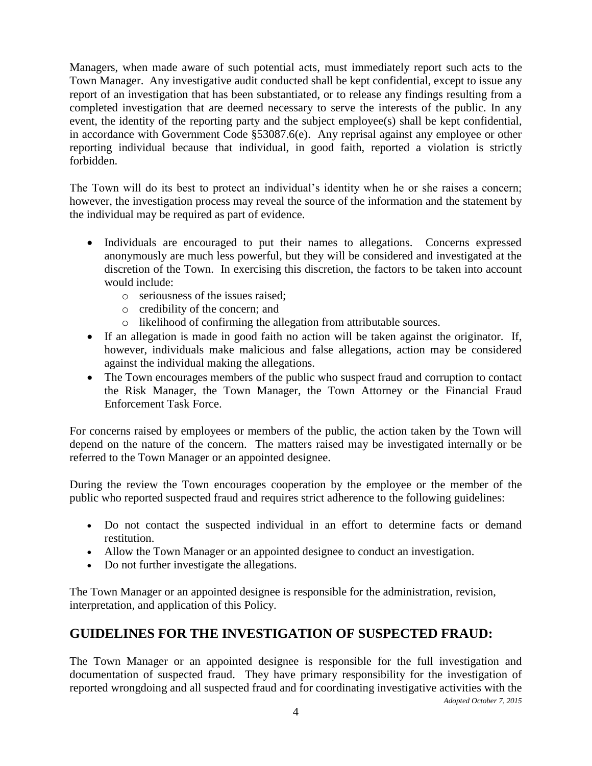Managers, when made aware of such potential acts, must immediately report such acts to the Town Manager. Any investigative audit conducted shall be kept confidential, except to issue any report of an investigation that has been substantiated, or to release any findings resulting from a completed investigation that are deemed necessary to serve the interests of the public. In any event, the identity of the reporting party and the subject employee(s) shall be kept confidential, in accordance with Government Code §53087.6(e). Any reprisal against any employee or other reporting individual because that individual, in good faith, reported a violation is strictly forbidden.

The Town will do its best to protect an individual's identity when he or she raises a concern; however, the investigation process may reveal the source of the information and the statement by the individual may be required as part of evidence.

- Individuals are encouraged to put their names to allegations. Concerns expressed anonymously are much less powerful, but they will be considered and investigated at the discretion of the Town. In exercising this discretion, the factors to be taken into account would include:
	- o seriousness of the issues raised;
	- o credibility of the concern; and
	- o likelihood of confirming the allegation from attributable sources.
- If an allegation is made in good faith no action will be taken against the originator. If, however, individuals make malicious and false allegations, action may be considered against the individual making the allegations.
- The Town encourages members of the public who suspect fraud and corruption to contact the Risk Manager, the Town Manager, the Town Attorney or the Financial Fraud Enforcement Task Force.

For concerns raised by employees or members of the public, the action taken by the Town will depend on the nature of the concern. The matters raised may be investigated internally or be referred to the Town Manager or an appointed designee.

During the review the Town encourages cooperation by the employee or the member of the public who reported suspected fraud and requires strict adherence to the following guidelines:

- Do not contact the suspected individual in an effort to determine facts or demand restitution.
- Allow the Town Manager or an appointed designee to conduct an investigation.
- Do not further investigate the allegations.

The Town Manager or an appointed designee is responsible for the administration, revision, interpretation, and application of this Policy.

# **GUIDELINES FOR THE INVESTIGATION OF SUSPECTED FRAUD:**

*Adopted October 7, 2015* The Town Manager or an appointed designee is responsible for the full investigation and documentation of suspected fraud. They have primary responsibility for the investigation of reported wrongdoing and all suspected fraud and for coordinating investigative activities with the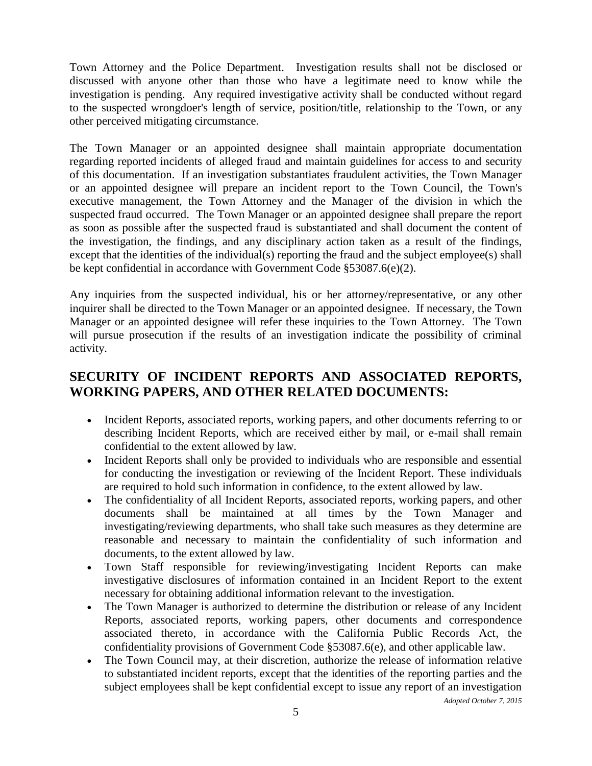Town Attorney and the Police Department. Investigation results shall not be disclosed or discussed with anyone other than those who have a legitimate need to know while the investigation is pending. Any required investigative activity shall be conducted without regard to the suspected wrongdoer's length of service, position/title, relationship to the Town, or any other perceived mitigating circumstance.

The Town Manager or an appointed designee shall maintain appropriate documentation regarding reported incidents of alleged fraud and maintain guidelines for access to and security of this documentation. If an investigation substantiates fraudulent activities, the Town Manager or an appointed designee will prepare an incident report to the Town Council, the Town's executive management, the Town Attorney and the Manager of the division in which the suspected fraud occurred. The Town Manager or an appointed designee shall prepare the report as soon as possible after the suspected fraud is substantiated and shall document the content of the investigation, the findings, and any disciplinary action taken as a result of the findings, except that the identities of the individual(s) reporting the fraud and the subject employee(s) shall be kept confidential in accordance with Government Code §53087.6(e)(2).

Any inquiries from the suspected individual, his or her attorney/representative, or any other inquirer shall be directed to the Town Manager or an appointed designee. If necessary, the Town Manager or an appointed designee will refer these inquiries to the Town Attorney. The Town will pursue prosecution if the results of an investigation indicate the possibility of criminal activity.

# **SECURITY OF INCIDENT REPORTS AND ASSOCIATED REPORTS, WORKING PAPERS, AND OTHER RELATED DOCUMENTS:**

- Incident Reports, associated reports, working papers, and other documents referring to or describing Incident Reports, which are received either by mail, or e-mail shall remain confidential to the extent allowed by law.
- Incident Reports shall only be provided to individuals who are responsible and essential for conducting the investigation or reviewing of the Incident Report. These individuals are required to hold such information in confidence, to the extent allowed by law.
- The confidentiality of all Incident Reports, associated reports, working papers, and other documents shall be maintained at all times by the Town Manager and investigating/reviewing departments, who shall take such measures as they determine are reasonable and necessary to maintain the confidentiality of such information and documents, to the extent allowed by law.
- Town Staff responsible for reviewing/investigating Incident Reports can make investigative disclosures of information contained in an Incident Report to the extent necessary for obtaining additional information relevant to the investigation.
- The Town Manager is authorized to determine the distribution or release of any Incident Reports, associated reports, working papers, other documents and correspondence associated thereto, in accordance with the California Public Records Act, the confidentiality provisions of Government Code §53087.6(e), and other applicable law.
- The Town Council may, at their discretion, authorize the release of information relative to substantiated incident reports, except that the identities of the reporting parties and the subject employees shall be kept confidential except to issue any report of an investigation